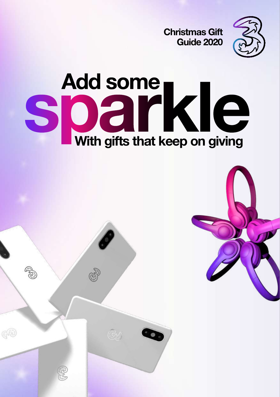



# **space on giving**<br> **Sparkler Sparkler With gifts that keep on giving**

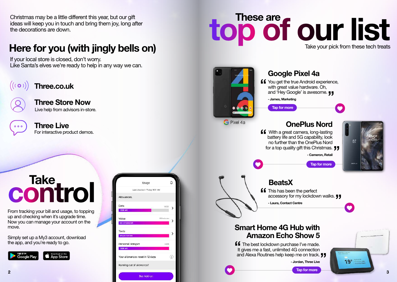Christmas may be a little different this year, but our gift ideas will keep you in touch and bring them joy, long after the decorations are down.

If your local store is closed, don't worry. Like Santa's elves we're ready to help in any way we can.

 $((\mathbf{o}))$ **[Three.co.uk](http://www.Three.co.uk)**

 $0.00$ 

For interactive product demos. **[Three Live](http://three.co.uk/three-live)**

Live help from advisors in-store.

**[Three Store Now](http://three.co.uk/three-store-now)**

## **Take control**

From tracking your bill and usage, to topping up and checking when it's upgrade time. Now you can manage your account on the move.

Simply set up a My3 account, download the app, and you're ready to go.





## Christmas may be a little different this year, but our gift<br>Ideas will keep you in touch and bring them joy, long after<br>**Here for you (with jingly bells on)** Take your pick from these tech treats Take your pick from these tech treats

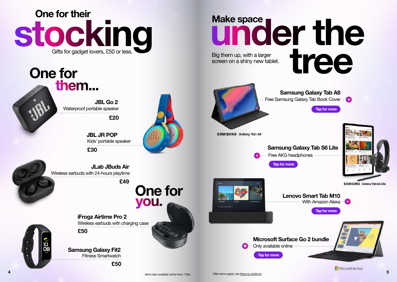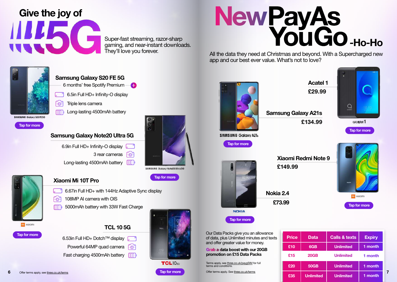





- 6.67in Full HD+ with 144Hz Adaptive Sync display
- 
- 108MP AI camera with OIS
- 5000mAh battery with 33W Fast Charge
- **Xiaomi Mi 10T Pro**



### **Samsung Galaxy Note20 Ultra 5G**

**Samsung Galaxy S20 FE 5G**

6.9in Full HD+ Infinity-O display

Long-lasting 4500mAh battery



3 rear cameras Fo



gaming, and near-instant downloads.



**Tap for more**

## Super-fast streaming, razor-sharp<br>gaming, and near-instant downloads.<br>They'll love you forever.

All the data they need at Christmas and beyond. With a Supercharged new app and our best ever value. What's not to love?



**Acatel 1 £29.99**

**Samsung Galaxy A21s**

**£134.99**

**Xiaomi Redmi Note 9**





**£73.99 Nokia 2.4**

Our Data Packs give you an allowance of data, plus Unlimited minutes and texts and offer greater value for money.

### **Grab a data boost with our 20GB promotion on £15 Data Packs**

Terms apply, see [three.co.uk/paygSIM](http://three.co.uk/paygSIM) for full terms and conditions.

Offer terms apply. See [three.co.uk/terms](http://three.co.uk/terms)





**Give the joy of**

**145G** 

Fo∃



**Tap for more**

SAMSUNG Galaxy S20FE 5G